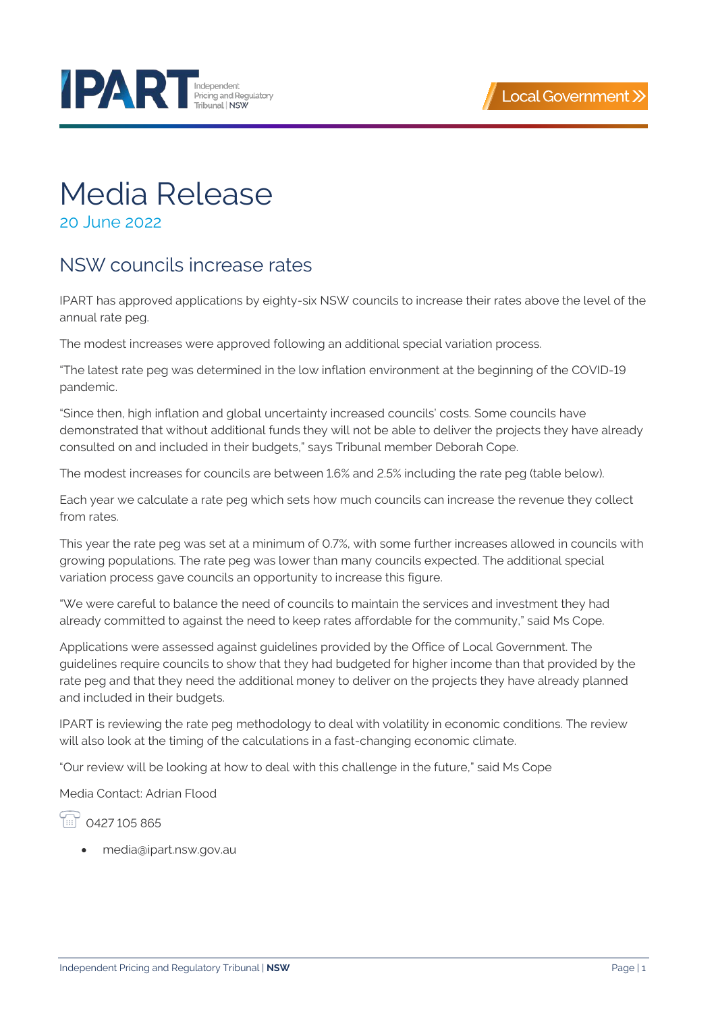



## Media Release

20 June 2022

## NSW councils increase rates

IPART has approved applications by eighty-six NSW councils to increase their rates above the level of the annual rate peg.

The modest increases were approved following an additional special variation process.

"The latest rate peg was determined in the low inflation environment at the beginning of the COVID-19 pandemic.

"Since then, high inflation and global uncertainty increased councils' costs. Some councils have demonstrated that without additional funds they will not be able to deliver the projects they have already consulted on and included in their budgets," says Tribunal member Deborah Cope.

The modest increases for councils are between 1.6% and 2.5% including the rate peg (table below).

Each year we calculate a rate peg which sets how much councils can increase the revenue they collect from rates.

This year the rate peg was set at a minimum of 0.7%, with some further increases allowed in councils with growing populations. The rate peg was lower than many councils expected. The additional special variation process gave councils an opportunity to increase this figure.

"We were careful to balance the need of councils to maintain the services and investment they had already committed to against the need to keep rates affordable for the community," said Ms Cope.

Applications were assessed against guidelines provided by the Office of Local Government. The guidelines require councils to show that they had budgeted for higher income than that provided by the rate peg and that they need the additional money to deliver on the projects they have already planned and included in their budgets.

IPART is reviewing the rate peg methodology to deal with volatility in economic conditions. The review will also look at the timing of the calculations in a fast-changing economic climate.

"Our review will be looking at how to deal with this challenge in the future," said Ms Cope

Media Contact: Adrian Flood

199 0427 105 865

• [media@ipart.nsw.gov.au](mailto:media@ipart.nsw.gov.au)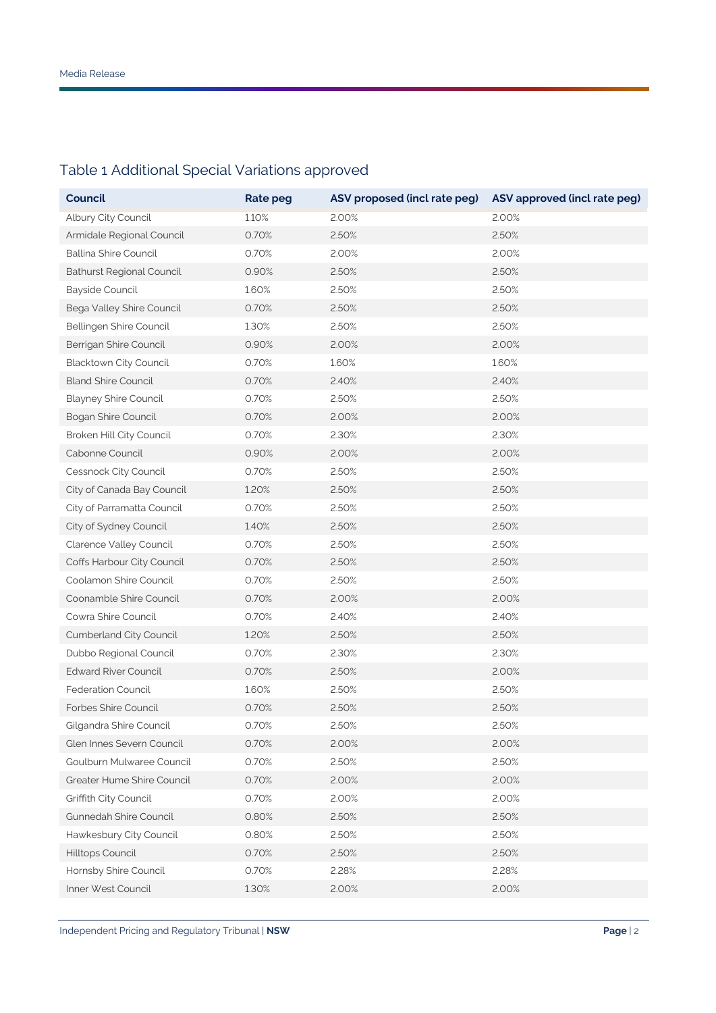## Table 1 Additional Special Variations approved

| <b>Council</b>                   | Rate peg | ASV proposed (incl rate peg) | ASV approved (incl rate peg) |
|----------------------------------|----------|------------------------------|------------------------------|
| Albury City Council              | 1.10%    | 2.00%                        | 2.00%                        |
| Armidale Regional Council        | 0.70%    | 2.50%                        | 2.50%                        |
| <b>Ballina Shire Council</b>     | 0.70%    | 2.00%                        | 2.00%                        |
| <b>Bathurst Regional Council</b> | 0.90%    | 2.50%                        | 2.50%                        |
| <b>Bayside Council</b>           | 1.60%    | 2.50%                        | 2.50%                        |
| Bega Valley Shire Council        | 0.70%    | 2.50%                        | 2.50%                        |
| Bellingen Shire Council          | 1.30%    | 2.50%                        | 2.50%                        |
| Berrigan Shire Council           | 0.90%    | 2.00%                        | 2.00%                        |
| Blacktown City Council           | 0.70%    | 1.60%                        | 1.60%                        |
| <b>Bland Shire Council</b>       | 0.70%    | 2.40%                        | 2.40%                        |
| <b>Blayney Shire Council</b>     | 0.70%    | 2.50%                        | 2.50%                        |
| <b>Bogan Shire Council</b>       | 0.70%    | 2.00%                        | 2.00%                        |
| Broken Hill City Council         | 0.70%    | 2.30%                        | 2.30%                        |
| Cabonne Council                  | 0.90%    | 2.00%                        | 2.00%                        |
| Cessnock City Council            | 0.70%    | 2.50%                        | 2.50%                        |
| City of Canada Bay Council       | 1.20%    | 2.50%                        | 2.50%                        |
| City of Parramatta Council       | 0.70%    | 2.50%                        | 2.50%                        |
| City of Sydney Council           | 1.40%    | 2.50%                        | 2.50%                        |
| Clarence Valley Council          | 0.70%    | 2.50%                        | 2.50%                        |
| Coffs Harbour City Council       | 0.70%    | 2.50%                        | 2.50%                        |
| Coolamon Shire Council           | 0.70%    | 2.50%                        | 2.50%                        |
| Coonamble Shire Council          | 0.70%    | 2.00%                        | 2.00%                        |
| Cowra Shire Council              | 0.70%    | 2.40%                        | 2.40%                        |
| Cumberland City Council          | 1.20%    | 2.50%                        | 2.50%                        |
| Dubbo Regional Council           | 0.70%    | 2.30%                        | 2.30%                        |
| <b>Edward River Council</b>      | 0.70%    | 2.50%                        | 2.00%                        |
| <b>Federation Council</b>        | 1.60%    | 2.50%                        | 2.50%                        |
| Forbes Shire Council             | 0.70%    | 2.50%                        | 2.50%                        |
| Gilgandra Shire Council          | 0.70%    | 2.50%                        | 2.50%                        |
| Glen Innes Severn Council        | 0.70%    | 2.00%                        | 2.00%                        |
| Goulburn Mulwaree Council        | 0.70%    | 2.50%                        | 2.50%                        |
| Greater Hume Shire Council       | 0.70%    | 2.00%                        | 2.00%                        |
| Griffith City Council            | 0.70%    | 2.00%                        | 2.00%                        |
| Gunnedah Shire Council           | 0.80%    | 2.50%                        | 2.50%                        |
| Hawkesbury City Council          | 0.80%    | 2.50%                        | 2.50%                        |
| Hilltops Council                 | 0.70%    | 2.50%                        | 2.50%                        |
| Hornsby Shire Council            | 0.70%    | 2.28%                        | 2.28%                        |
| Inner West Council               | 1.30%    | 2.00%                        | 2.00%                        |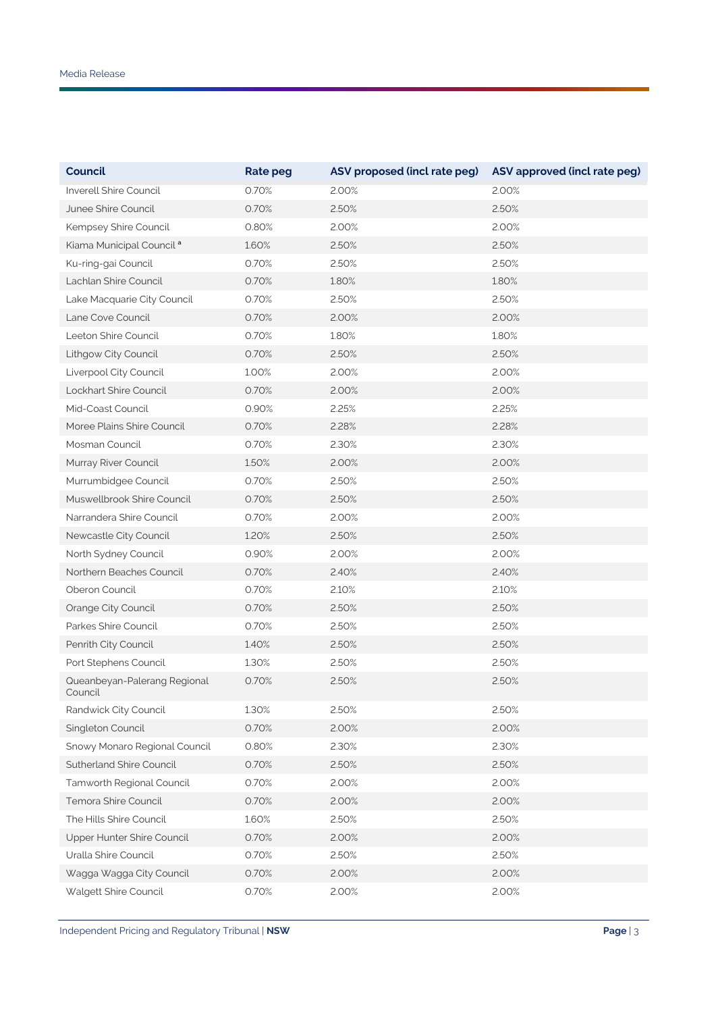| Council                                 | <b>Rate peg</b> | ASV proposed (incl rate peg) | ASV approved (incl rate peg) |
|-----------------------------------------|-----------------|------------------------------|------------------------------|
| Inverell Shire Council                  | 0.70%           | 2.00%                        | 2.00%                        |
| Junee Shire Council                     | 0.70%           | 2.50%                        | 2.50%                        |
| Kempsey Shire Council                   | 0.80%           | 2.00%                        | 2.00%                        |
| Kiama Municipal Council <sup>a</sup>    | 1.60%           | 2.50%                        | 2.50%                        |
| Ku-ring-gai Council                     | 0.70%           | 2.50%                        | 2.50%                        |
| Lachlan Shire Council                   | 0.70%           | 1.80%                        | 1.80%                        |
| Lake Macquarie City Council             | 0.70%           | 2.50%                        | 2.50%                        |
| Lane Cove Council                       | 0.70%           | 2.00%                        | 2.00%                        |
| Leeton Shire Council                    | 0.70%           | 1.80%                        | 1.80%                        |
| Lithgow City Council                    | 0.70%           | 2.50%                        | 2.50%                        |
| Liverpool City Council                  | 1.00%           | 2.00%                        | 2.00%                        |
| Lockhart Shire Council                  | 0.70%           | 2.00%                        | 2.00%                        |
| Mid-Coast Council                       | 0.90%           | 2.25%                        | 2.25%                        |
| Moree Plains Shire Council              | 0.70%           | 2.28%                        | 2.28%                        |
| Mosman Council                          | 0.70%           | 2.30%                        | 2.30%                        |
| Murray River Council                    | 1.50%           | 2.00%                        | 2.00%                        |
| Murrumbidgee Council                    | 0.70%           | 2.50%                        | 2.50%                        |
| Muswellbrook Shire Council              | 0.70%           | 2.50%                        | 2.50%                        |
| Narrandera Shire Council                | 0.70%           | 2.00%                        | 2.00%                        |
| Newcastle City Council                  | 1.20%           | 2.50%                        | 2.50%                        |
| North Sydney Council                    | 0.90%           | 2.00%                        | 2.00%                        |
| Northern Beaches Council                | 0.70%           | 2.40%                        | 2.40%                        |
| Oberon Council                          | 0.70%           | 2.10%                        | 2.10%                        |
| Orange City Council                     | 0.70%           | 2.50%                        | 2.50%                        |
| Parkes Shire Council                    | 0.70%           | 2.50%                        | 2.50%                        |
| Penrith City Council                    | 1.40%           | 2.50%                        | 2.50%                        |
| Port Stephens Council                   | 1.30%           | 2.50%                        | 2.50%                        |
| Queanbeyan-Palerang Regional<br>Council | 0.70%           | 2.50%                        | 2.50%                        |
| Randwick City Council                   | 1.30%           | 2.50%                        | 2.50%                        |
| Singleton Council                       | 0.70%           | 2.00%                        | 2.00%                        |
| Snowy Monaro Regional Council           | 0.80%           | 2.30%                        | 2.30%                        |
| Sutherland Shire Council                | 0.70%           | 2.50%                        | 2.50%                        |
| Tamworth Regional Council               | 0.70%           | 2.00%                        | 2.00%                        |
| Temora Shire Council                    | 0.70%           | 2.00%                        | 2.00%                        |
| The Hills Shire Council                 | 1.60%           | 2.50%                        | 2.50%                        |
| Upper Hunter Shire Council              | 0.70%           | 2.00%                        | 2.00%                        |
| Uralla Shire Council                    | 0.70%           | 2.50%                        | 2.50%                        |
| Wagga Wagga City Council                | 0.70%           | 2.00%                        | 2.00%                        |
| Walgett Shire Council                   | 0.70%           | 2.00%                        | 2.00%                        |